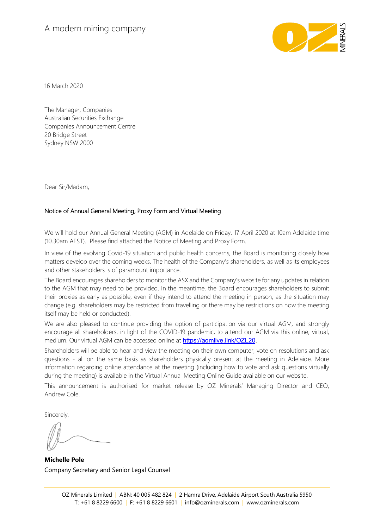# A modern mining company



16 March 2020

The Manager, Companies Australian Securities Exchange Companies Announcement Centre 20 Bridge Street Sydney NSW 2000

Dear Sir/Madam,

# Notice of Annual General Meeting, Proxy Form and Virtual Meeting

We will hold our Annual General Meeting (AGM) in Adelaide on Friday, 17 April 2020 at 10am Adelaide time (10.30am AEST). Please find attached the Notice of Meeting and Proxy Form.

In view of the evolving Covid-19 situation and public health concerns, the Board is monitoring closely how matters develop over the coming weeks. The health of the Company's shareholders, as well as its employees and other stakeholders is of paramount importance.

The Board encourages shareholders to monitor the ASX and the Company's website for any updates in relation to the AGM that may need to be provided. In the meantime, the Board encourages shareholders to submit their proxies as early as possible, even if they intend to attend the meeting in person, as the situation may change (e.g. shareholders may be restricted from travelling or there may be restrictions on how the meeting itself may be held or conducted).

We are also pleased to continue providing the option of participation via our virtual AGM, and strongly encourage all shareholders, in light of the COVID-19 pandemic, to attend our AGM via this online, virtual, medium. Our virtual AGM can be accessed online at **[https://agmlive.link/OZL20.](http://em1.zync-zes-2.appspot.com/sg/cl?cl=NmU4NTgzYzUtNzBjNS00ODdmLWI3NTYtM2UyNGY0NmFiYWMx:MTI=:aHR0cHM6Ly9hZ21saXZlLmxpbmsvT1pMMjA=:MQ==)** 

Shareholders will be able to hear and view the meeting on their own computer, vote on resolutions and ask questions - all on the same basis as shareholders physically present at the meeting in Adelaide. More information regarding online attendance at the meeting (including how to vote and ask questions virtually during the meeting) is available in the Virtual Annual Meeting Online Guide available on our website.

This announcement is authorised for market release by OZ Minerals' Managing Director and CEO, Andrew Cole.

Sincerely,

**Michelle Pole** Company Secretary and Senior Legal Counsel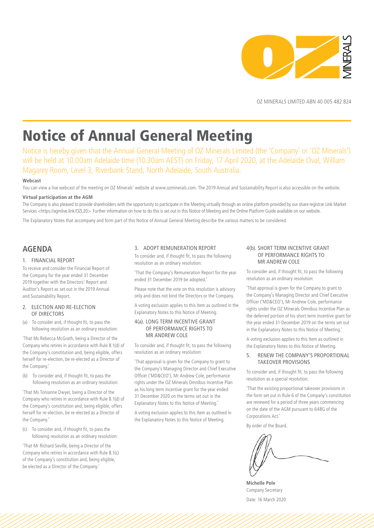

OZ MINERALS LIMITED ABN 40 005 482 824

# Notice of Annual General Meeting

Notice is hereby given that the Annual General Meeting of OZ Minerals Limited (the 'Company' or 'OZ Minerals') will be held at 10.00am Adelaide time (10.30am AEST) on Friday, 17 April 2020, at the Adelaide Oval, William Magarey Room, Level 3, Riverbank Stand, North Adelaide, South Australia.

#### **Webcast**

You can view a live webcast of the meeting on OZ Minerals' website at www.ozminerals.com. The 2019 Annual and Sustainability Report is also accessible on the website.

#### **Virtual participation at the AGM**

The Company is also pleased to provide shareholders with the opportunity to participate in the Meeting virtually through an online platform provided by our share registrar Link Market Services <https://agmlive.link/OZL20>. Further information on how to do this is set out in this Notice of Meeting and the Online Platform Guide available on our website.

The Explanatory Notes that accompany and form part of this Notice of Annual General Meeting describe the various matters to be considered.

# **AGENDA**

#### 1. FINANCIAL REPORT

To receive and consider the Financial Report of the Company for the year ended 31 December 2019 together with the Directors' Report and Auditor's Report as set out in the 2019 Annual and Sustainability Report.

#### 2. ELECTION AND RE-ELECTION OF DIRECTORS

(a) To consider and, if thought fit, to pass the following resolution as an ordinary resolution:

'That Ms Rebecca McGrath, being a Director of the Company who retires in accordance with Rule 8.1(d) of the Company's constitution and, being eligible, offers herself for re-election, be re-elected as a Director of the Company.'

(b) To consider and, if thought fit, to pass the following resolution as an ordinary resolution:

'That Ms Tonianne Dwyer, being a Director of the Company who retires in accordance with Rule 8.1(d) of the Company's constitution and, being eligible, offers herself for re-election, be re-elected as a Director of the Company.'

(c) To consider and, if thought fit, to pass the following resolution as an ordinary resolution:

'That Mr Richard Seville, being a Director of the Company who retires in accordance with Rule 8.1(c) of the Company's constitution and, being eligible, be elected as a Director of the Company.'

#### 3. ADOPT REMUNERATION REPORT

To consider and, if thought fit, to pass the following resolution as an ordinary resolution:

'That the Company's Remuneration Report for the year ended 31 December 2019 be adopted.'

Please note that the vote on this resolution is advisory only and does not bind the Directors or the Company.

A voting exclusion applies to this Item as outlined in the Explanatory Notes to this Notice of Meeting.

#### 4(a). LONG TERM INCENTIVE GRANT OF PERFORMANCE RIGHTS TO MR ANDREW COLE

To consider and, if thought fit, to pass the following resolution as an ordinary resolution:

'That approval is given for the Company to grant to the Company's Managing Director and Chief Executive Officer ('MD&CEO'), Mr Andrew Cole, performance rights under the OZ Minerals Omnibus Incentive Plan as his long term incentive grant for the year ended 31 December 2020 on the terms set out in the Explanatory Notes to this Notice of Meeting.'

A voting exclusion applies to this Item as outlined in the Explanatory Notes to this Notice of Meeting.

#### 4(b). SHORT TERM INCENTIVE GRANT OF PERFORMANCE RIGHTS TO MR ANDREW COLE

To consider and, if thought fit, to pass the following resolution as an ordinary resolution:

'That approval is given for the Company to grant to the Company's Managing Director and Chief Executive Officer ('MD&CEO'), Mr Andrew Cole, performance rights under the OZ Minerals Omnibus Incentive Plan as the deferred portion of his short term incentive grant for the year ended 31 December 2019 on the terms set out in the Explanatory Notes to this Notice of Meeting.'

A voting exclusion applies to this Item as outlined in the Explanatory Notes to this Notice of Meeting.

#### 5. RENEW THE COMPANY'S PROPORTIONAL TAKEOVER PROVISIONS

To consider and, if thought fit, to pass the following resolution as a special resolution:

'That the existing proportional takeover provisions in the form set out in Rule 6 of the Company's constitution are renewed for a period of three years commencing on the date of the AGM pursuant to 648G of the Corporations Act.'

By order of the Board.

**Michelle Pole** Company Secretary Date: 16 March 2020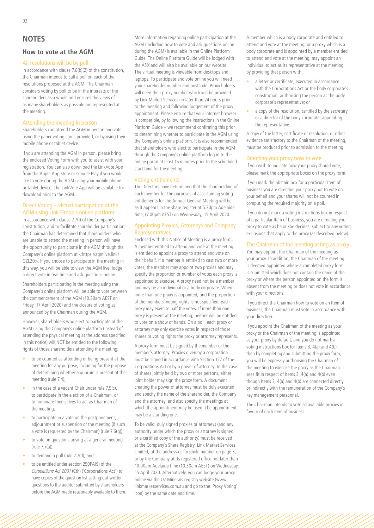## **How to vote at the AGM**

#### All resolutions will be by poll

In accordance with clause 7.6(b)(2) of the constitution, the Chairman intends to call a poll on each of the resolutions proposed at the AGM. The Chairman considers voting by poll to be in the interests of the shareholders as a whole and ensures the views of as many shareholders as possible are represented at the meeting.

#### Attending the meeting in person

Shareholders can attend the AGM in person and vote using the paper voting cards provided, or by using their mobile phone or tablet device.

If you are attending the AGM in person, please bring the enclosed Voting Form with you to assist with your registration. You can also download the LinkVote App from the Apple App Store or Google Play if you would like to vote during the AGM using your mobile phone or tablet device. The LinkVote App will be available for download prior to the AGM.

## Direct Voting – virtual participation at the AGM using Link Group's online platform

In accordance with clause 7.7(j) of the Company's constitution, and to facilitate shareholder participation, the Chairman has determined that shareholders who are unable to attend the meeting in person will have the opportunity to participate in the AGM through the Company's online platform at <https://agmlive.link/ OZL20>. If you choose to participate in the meeting in this way, you will be able to view the AGM live, lodge a direct vote in real time and ask questions online.

Shareholders participating in the meeting using the Company's online platform will be able to vote between the commencement of the AGM (10.30am AEST on Friday, 17 April 2020) and the closure of voting as announced by the Chairman during the AGM.

However, shareholders who elect to participate at the AGM using the Company's online platform (instead of attending the physical meeting at the address specified in this notice) will NOT be entitled to the following rights of those shareholders attending the meeting:

- to be counted as attending or being present at the meeting for any purpose, including for the purpose of determining whether a quorum is present at the meeting (rule 7.4);
- in the case of a vacant Chair under rule  $7.5(c)$ , to participate in the election of a Chairman, or to nominate themselves to act as Chairman of the meeting;
- to participate in a vote on the postponement, adjournment or suspension of the meeting (if such a vote is requested by the Chairman) (rule 7.6(g));
- to vote on questions arising at a general meeting (rule 7.7(a));
- to demand a poll (rule 7.7(d); and
- to be entitled under section 250PA(9) of the *Corporations Act 2001* (Cth) ('Corporations Act') to have copies of the question list setting out written questions to the auditor submitted by shareholders before the AGM made reasonably available to them.

More information regarding online participation at the AGM (including how to vote and ask questions online during the AGM) is available in the Online Platform Guide. The Online Platform Guide will be lodged with the ASX and will also be available on our website. The virtual meeting is viewable from desktops and laptops. To participate and vote online you will need your shareholder number and postcode. Proxy holders will need their proxy number which will be provided by Link Market Services no later than 24 hours prior to the meeting and following lodgement of the proxy appointment. Please ensure that your internet browser is compatible, by following the instructions in the Online Platform Guide – we recommend confirming this prior to determining whether to participate in the AGM using the Company's online platform. It is also recommended that shareholders who elect to participate in the AGM through the Company's online platform log in to the online portal at least 15 minutes prior to the scheduled start time for the meeting.

#### Voting entitlements

The Directors have determined that the shareholding of each member for the purposes of ascertaining voting entitlements for the Annual General Meeting will be as it appears in the share register at 6.30pm Adelaide time, (7.00pm AEST) on Wednesday, 15 April 2020.

#### Appointing Proxies, Attorneys and Company Representatives

Enclosed with this Notice of Meeting is a proxy form. A member entitled to attend and vote at the meeting is entitled to appoint a proxy to attend and vote on their behalf. If a member is entitled to cast two or more votes, the member may appoint two proxies and may specify the proportion or number of votes each proxy is appointed to exercise. A proxy need not be a member and may be an individual or a body corporate. When more than one proxy is appointed, and the proportion of the members' voting rights is not specified, each proxy may exercise half the votes. If more than one proxy is present at the meeting, neither will be entitled to vote on a show of hands. On a poll, each proxy or attorney may only exercise votes in respect of those shares or voting rights the proxy or attorney represents.

A proxy form must be signed by the member or the member's attorney. Proxies given by a corporation must be signed in accordance with Section 127 of the Corporations Act or by a power of attorney. In the case of shares jointly held by two or more persons, either joint holder may sign the proxy form. A document creating the power of attorney must be duly executed and specify the name of the shareholder, the Company and the attorney, and also specify the meetings at which the appointment may be used. The appointment may be a standing one.

To be valid, duly signed proxies or attorneys (and any authority under which the proxy or attorney is signed or a certified copy of the authority) must be received at the Company's Share Registry, Link Market Services Limited, at the address or facsimile number on page 3, or by the Company at its registered office not later than 10.00am Adelaide time (10.30am AEST) on Wednesday, 15 April 2020. Alternatively, you can lodge your proxy online via the OZ Minerals registry website (www. linkmarketservices.com.au and go to the 'Proxy Voting' icon) by the same date and time.

A member which is a body corporate and entitled to attend and vote at the meeting, or a proxy which is a body corporate and is appointed by a member entitled to attend and vote at the meeting, may appoint an individual to act as its representative at the meeting by providing that person with:

- a letter or certificate, executed in accordance with the Corporations Act or the body corporate's constitution, authorising the person as the body corporate's representative; or
- a copy of the resolution, certified by the secretary or a director of the body corporate, appointing the representative.

A copy of the letter, certificate or resolution, or other evidence satisfactory to the Chairman of the meeting, must be produced prior to admission to the meeting.

#### Directing your proxy how to vote

If you wish to indicate how your proxy should vote, please mark the appropriate boxes on the proxy form.

If you mark the abstain box for a particular Item of business you are directing your proxy not to vote on your behalf and your shares will not be counted in computing the required majority on a poll.

If you do not mark a voting instructions box in respect of a particular Item of business, you are directing your proxy to vote as he or she decides, subject to any voting exclusions that apply to the proxy (as described below).

# The Chairman of the meeting acting as proxy

You may appoint the Chairman of the meeting as your proxy. In addition, the Chairman of the meeting is deemed appointed where a completed proxy form is submitted which does not contain the name of the proxy or where the person appointed on the form is absent from the meeting or does not vote in accordance with your directions.

If you direct the Chairman how to vote on an Item of business, the Chairman must vote in accordance with your direction.

If you appoint the Chairman of the meeting as your proxy or the Chairman of the meeting is appointed as your proxy by default, and you do not mark a voting instructions box for Items 3, 4(a) and 4(b), then by completing and submitting the proxy form, you will be expressly authorising the Chairman of the meeting to exercise the proxy as the Chairman sees fit in respect of Items 3, 4(a) and 4(b) even though Items 3, 4(a) and 4(b) are connected directly or indirectly with the remuneration of the Company's key management personnel.

The Chairman intends to vote all available proxies in favour of each Item of business.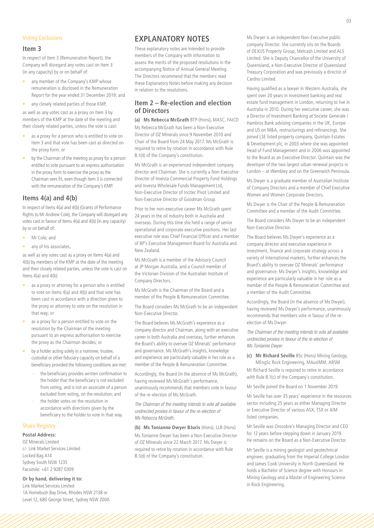#### Voting Exclusions

#### **Item 3**

In respect of Item 3 (Remuneration Report), the Company will disregard any votes cast on Item 3 (in any capacity) by or on behalf of:

- any member of the Company's KMP whose remuneration is disclosed in the Remuneration Report for the year ended 31 December 2019; and
- any closely related parties of those KMP,

as well as any votes cast as a proxy on Item 3 by members of the KMP at the date of the meeting and their closely related parties, unless the vote is cast:

- as a proxy for a person who is entitled to vote on Item 3 and that vote has been cast as directed on the proxy form; or
- by the Chairman of the meeting as proxy for a person entitled to vote pursuant to an express authorisation in the proxy form to exercise the proxy as the Chairman sees fit, even though Item 3 is connected with the remuneration of the Company's KMP.

# **Items 4(a) and 4(b)**

In respect of Items 4(a) and 4(b) (Grants of Performance Rights to Mr Andrew Cole), the Company will disregard any votes cast in favour of Items 4(a) and 4(b) (in any capacity) by or on behalf of:

- Mr Cole; and
- any of his associates,

as well as any votes cast as a proxy on Items 4(a) and 4(b) by members of the KMP at the date of the meeting and their closely related parties, unless the vote is cast on Items 4(a) and 4(b):

- as a proxy or attorney for a person who is entitled to vote on Items 4(a) and 4(b) and that vote has been cast in accordance with a direction given to the proxy or attorney to vote on the resolution in that way; or
- as a proxy for a person entitled to vote on the resolution by the Chairman of the meeting pursuant to an express authorisation to exercise the proxy as the Chairman decides; or
- by a holder acting solely in a nominee, trustee, custodial or other fiduciary capacity on behalf of a beneficiary provided the following conditions are met:
	- the beneficiary provides written confirmation to the holder that the beneficiary is not excluded from voting, and is not an associate of a person excluded from voting, on the resolution; and
	- the holder votes on the resolution in accordance with directions given by the beneficiary to the holder to vote in that way.

#### Share Registry

# **Postal Address:**

OZ Minerals Limited c/- Link Market Services Limited Locked Bag A14 Sydney South NSW 1235 Facsimile: +61 2 9287 0309

#### **Or by hand, delivering it to:**

Link Market Services Limited 1A Homebush Bay Drive, Rhodes NSW 2138 or Level 12, 680 George Street, Sydney NSW 2000.

# **EXPLANATORY NOTES**

These explanatory notes are intended to provide members of the Company with information to assess the merits of the proposed resolutions in the accompanying Notice of Annual General Meeting. The Directors recommend that the members read these Explanatory Notes before making any decision in relation to the resolutions.

# **Item 2 – Re-election and election of Directors**

**(a) Ms Rebecca McGrath** BTP (Hons), MASC, FAICD Ms Rebecca McGrath has been a Non-Executive Director of OZ Minerals since 9 November 2010 and Chair of the Board from 24 May 2017. Ms McGrath is required to retire by rotation in accordance with Rule 8.1(d) of the Company's constitution.

Ms McGrath is an experienced independent company director and Chairman. She is currently a Non-Executive Director of Investa Commercial Property Fund Holdings and Investa Wholesale Funds Management Ltd, Non-Executive Director of Incitec Pivot Limited and Non-Executive Director of Goodman Group.

Prior to her non-executive career Ms McGrath spent 24 years in the oil industry both in Australia and overseas. During this time she held a range of senior operational and corporate executive positions. Her last executive role was Chief Financial Officer and a member of BP's Executive Management Board for Australia and New Zealand.

Ms McGrath is a member of the Advisory Council at JP Morgan Australia, and a Council member of the Victorian Division of the Australian Institute of Company Directors.

Ms McGrath is the Chairman of the Board and a member of the People & Remuneration Committee.

The Board considers Ms McGrath to be an independent Non-Executive Director.

The Board believes Ms McGrath's experience as a company director and Chairman, along with an executive career in both Australia and overseas, further enhances the Board's ability to oversee OZ Minerals' performance and governance. Ms McGrath's insights, knowledge and experience are particularly valuable in her role as a member of the People & Remuneration Committee.

Accordingly, the Board (in the absence of Ms McGrath), having reviewed Ms McGrath's performance, unanimously recommends that members vote in favour of the re-election of Ms McGrath.

*The Chairman of the meeting intends to vote all available undirected proxies in favour of the re-election of Ms Rebecca McGrath.*

**(b) Ms Tonianne Dwyer BJuris** (Hons), LLB (Hons) Ms Tonianne Dwyer has been a Non-Executive Director of OZ Minerals since 22 March 2017. Ms Dwyer is required to retire by rotation in accordance with Rule 8.1(d) of the Company's constitution.

Ms Dwyer is an independent Non-Executive public company Director. She currently sits on the Boards of DEXUS Property Group, Metcash Limited and ALS Limited. She is Deputy Chancellor of the University of Queensland, a Non-Executive Director of Queensland Treasury Corporation and was previously a director of Cardno Limited.

Having qualified as a lawyer in Western Australia, she spent over 20 years in investment banking and real estate fund management in London, returning to live in Australia in 2010. During her executive career, she was a Director of Investment Banking at Societe Generale / Hambros Bank advising companies in the UK, Europe and US on M&A, restructurings and refinancings. She joined LSE listed property company, Quintain Estates & Development plc, in 2003 where she was appointed Head of Fund Management and in 2006 was appointed to the Board as an Executive Director. Quintain was the developer of the two largest urban renewal projects in London – at Wembley and on the Greenwich Peninsula.

Ms Dwyer is a graduate member of Australian Institute of Company Directors and a member of Chief Executive Women and Women Corporate Directors.

Ms Dwyer is the Chair of the People & Remuneration Committee and a member of the Audit Committee.

The Board considers Ms Dwyer to be an independent Non-Executive Director.

The Board believes Ms Dwyer's experience as a company director and executive experience in investment, finance and corporate strategy across a variety of international markets, further enhances the Board's ability to oversee OZ Minerals' performance and governance. Ms Dwyer's insights, knowledge and experience are particularly valuable in her role as a member of the People & Remuneration Committee and a member of the Audit Committee.

Accordingly, the Board (in the absence of Ms Dwyer), having reviewed Ms Dwyer's performance, unanimously recommends that members vote in favour of the reelection of Ms Dwyer.

*The Chairman of the meeting intends to vote all available undirected proxies in favour of the re-election of Ms Tonianne Dwyer.*

**(c) Mr Richard Seville** BSc (Hons) Mining Geology, MEngSc Rock Engineering, MAusIMM, ARSM

Mr Richard Seville is required to retire in accordance with Rule 8.1(c) of the Company's constitution.

Mr Seville joined the Board on 1 November 2019.

Mr Seville has over 35 years' experience in the resources sector including 25 years as either Managing Director or Executive Director of various ASX, TSX or AIM listed companies.

Mr Seville was Orocobre's Managing Director and CEO for 12 years before stepping down in January 2019. He remains on the Board as a Non-Executive Director.

Mr Seville is a mining geologist and geotechnical engineer, graduating from the Imperial College London and James Cook University in North Queensland. He holds a Bachelor of Science degree with Honours in Mining Geology and a Master of Engineering Science in Rock Engineering.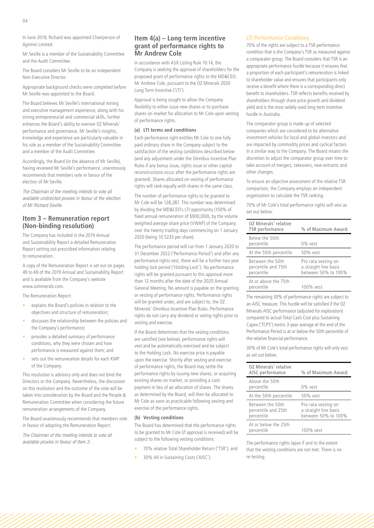In June 2019, Richard was appointed Chairperson of Agrimin Limited.

Mr Seville is a member of the Sustainability Committee and the Audit Committee.

The Board considers Mr Seville to be an independent Non-Executive Director.

Appropriate background checks were completed before Mr Seville was appointed to the Board.

The Board believes Mr Seville's international mining and executive management experience, along with his strong entrepreneurial and commercial skills, further enhances the Board's ability to oversee OZ Minerals' performance and governance. Mr Seville's insights, knowledge and experience are particularly valuable in his role as a member of the Sustainability Committee and a member of the Audit Committee.

Accordingly, the Board (in the absence of Mr Seville), having reviewed Mr Seville's performance, unanimously recommends that members vote in favour of the election of Mr Seville.

*The Chairman of the meeting intends to vote all available undirected proxies in favour of the election of Mr Richard Seville.*

# **Item 3 – Remuneration report (Non-binding resolution)**

The Company has included in the 2019 Annual and Sustainability Report a detailed Remuneration Report setting out prescribed information relating to remuneration.

A copy of the Remuneration Report is set out on pages 49 to 69 of the 2019 Annual and Sustainability Report and is available from the Company's website www.ozminerals.com.

The Remuneration Report:

- explains the Board's policies in relation to the objectives and structure of remuneration;
- discusses the relationship between the policies and the Company's performance;
- provides a detailed summary of performance conditions, why they were chosen and how performance is measured against them; and
- sets out the remuneration details for each KMP of the Company.

This resolution is advisory only and does not bind the Directors or the Company. Nevertheless, the discussion on this resolution and the outcome of the vote will be taken into consideration by the Board and the People & Remuneration Committee when considering the future remuneration arrangements of the Company.

The Board unanimously recommends that members vote in favour of adopting the Remuneration Report.

*The Chairman of the meeting intends to vote all available proxies in favour of Item 3.* 

# **Item 4(a) – Long term incentive grant of performance rights to Mr Andrew Cole**

In accordance with ASX Listing Rule 10.14, the Company is seeking the approval of shareholders for the proposed grant of performance rights to the MD&CEO, Mr Andrew Cole, pursuant to the OZ Minerals 2020 Long Term Incentive ('LTI').

Approval is being sought to allow the Company flexibility to either issue new shares or to purchase shares on-market for allocation to Mr Cole upon vesting of performance rights.

#### **(a) LTI terms and conditions**

Each performance right entitles Mr Cole to one fully paid ordinary share in the Company subject to the satisfaction of the vesting conditions described below (and any adjustment under the Omnibus Incentive Plan Rules if any bonus issue, rights issue or other capital reconstructions occur after the performance rights are granted). Shares allocated on vesting of performance rights will rank equally with shares in the same class.

The number of performance rights to be granted to Mr Cole will be 128,287. This number was determined by dividing the MD&CEO's LTI opportunity (150% of fixed annual remuneration of \$900,000), by the volume weighted average share price (VWAP) of the Company over the twenty trading days commencing on 1 January 2020 (being 10.5233 per share).

The performance period will run from 1 January 2020 to 31 December 2022 ('Performance Period') and after any performance rights vest, there will be a further two year holding lock period ('Holding Lock'). No performance rights will be granted pursuant to this approval more than 12 months after the date of the 2020 Annual General Meeting. No amount is payable on the granting or vesting of performance rights. Performance rights will be granted under, and are subject to, the OZ Minerals' Omnibus Incentive Plan Rules. Performance rights do not carry any dividend or voting rights prior to vesting and exercise.

If the Board determines that the vesting conditions are satisfied (see below), performance rights will vest and be automatically exercised and be subject to the Holding Lock. No exercise price is payable upon the exercise. Shortly after vesting and exercise of performance rights, the Board may settle the performance rights by issuing new shares, or acquiring existing shares on market, or providing a cash payment in lieu of an allocation of shares. The shares as determined by the Board, will then be allocated to Mr Cole as soon as practicable following vesting and exercise of the performance rights.

#### **(b) Vesting conditions**

The Board has determined that the performance rights to be granted to Mr Cole (if approval is received) will be subject to the following vesting conditions:

- 70% relative Total Shareholder Return ('TSR'); and
- 30% All in Sustaining Costs ('AISC').

#### LTI Performance Conditions

70% of the rights are subject to a TSR performance condition that is the Company's TSR as measured against a comparator group. The Board considers that TSR is an appropriate performance hurdle because it ensures that a proportion of each participant's remuneration is linked to shareholder value and ensures that participants only receive a benefit where there is a corresponding direct benefit to shareholders. TSR reflects benefits received by shareholders through share price growth and dividend yield and is the most widely used long term incentive hurdle in Australia.

The comparator group is made up of selected companies which are considered to be alternative investment vehicles for local and global investors and are impacted by commodity prices and cyclical factors in a similar way to the Company. The Board retains the discretion to adjust the comparator group over time to take account of mergers, takeovers, new entrants and other changes.

To ensure an objective assessment of the relative TSR comparison, the Company employs an independent organisation to calculate the TSR ranking.

70% of Mr Cole's total performance rights will vest as set out below.

| OZ Minerals' relative<br>TSR performance              | % of Maximum Award:                                                 |
|-------------------------------------------------------|---------------------------------------------------------------------|
| Below the 50th<br>percentile                          | $0\%$ vest                                                          |
| At the 50th percentile                                | 50% vest                                                            |
| Between the 50th<br>percentile and 75th<br>percentile | Pro rata vesting on<br>a straight line basis<br>between 50% to 100% |
| At or above the 75th<br>percentile                    | 100% vest                                                           |

The remaining 30% of performance rights are subject to an AISC measure. This hurdle will be satisfied if the OZ Minerals AISC performance (adjusted for exploration) compared to actual Total Cash Cost plus Sustaining Capex ('TCPS') metric 3-year average at the end of the Performance Period is at or below the 50th percentile of the relative financial performance.

30% of Mr Cole's total performance rights will only vest as set out below.

| OZ Minerals' relative<br>AISC performance             | % of Maximum Award:                                                 |
|-------------------------------------------------------|---------------------------------------------------------------------|
| Above the 50th<br>percentile                          | 0% vest                                                             |
| At the 50th percentile                                | 50% vest                                                            |
| Between the 50th<br>percentile and 25th<br>percentile | Pro rata vesting on<br>a straight line basis<br>between 50% to 100% |
| At or below the 25th<br>percentile                    | 100% vest                                                           |

The performance rights lapse if and to the extent that the vesting conditions are not met. There is no re-testing.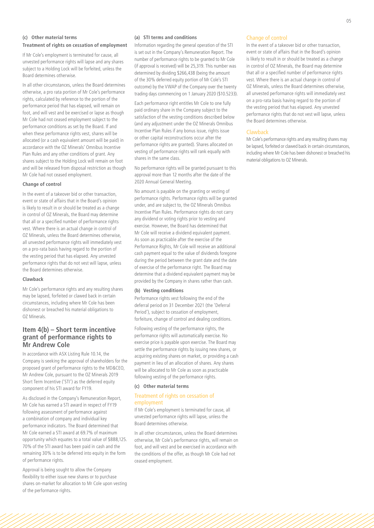# **(c) Other material terms Treatment of rights on cessation of employment**

If Mr Cole's employment is terminated for cause, all unvested performance rights will lapse and any shares subject to a Holding Lock will be forfeited, unless the Board determines otherwise.

In all other circumstances, unless the Board determines otherwise, a pro rata portion of Mr Cole's performance rights, calculated by reference to the portion of the performance period that has elapsed, will remain on foot, and will vest and be exercised or lapse as though Mr Cole had not ceased employment subject to the performance conditions as set by the Board. If and when these performance rights vest, shares will be allocated (or a cash equivalent amount will be paid) in accordance with the OZ Minerals' Omnibus Incentive Plan Rules and any other conditions of grant. Any shares subject to the Holding Lock will remain on foot and will be released from disposal restriction as though Mr Cole had not ceased employment.

#### **Change of control**

In the event of a takeover bid or other transaction, event or state of affairs that in the Board's opinion is likely to result in or should be treated as a change in control of OZ Minerals, the Board may determine that all or a specified number of performance rights vest. Where there is an actual change in control of OZ Minerals, unless the Board determines otherwise, all unvested performance rights will immediately vest on a pro-rata basis having regard to the portion of the vesting period that has elapsed. Any unvested performance rights that do not vest will lapse, unless the Board determines otherwise.

#### **Clawback**

Mr Cole's performance rights and any resulting shares may be lapsed, forfeited or clawed back in certain circumstances, including where Mr Cole has been dishonest or breached his material obligations to OZ Minerals.

# **Item 4(b) – Short term incentive grant of performance rights to Mr Andrew Cole**

In accordance with ASX Listing Rule 10.14, the Company is seeking the approval of shareholders for the proposed grant of performance rights to the MD&CEO, Mr Andrew Cole, pursuant to the OZ Minerals 2019 Short Term Incentive ('STI') as the deferred equity component of his STI award for FY19.

As disclosed in the Company's Remuneration Report, Mr Cole has earned a STI award in respect of FY19 following assessment of performance against a combination of company and individual key performance indicators. The Board determined that Mr Cole earned a STI award at 69.7% of maximum opportunity which equates to a total value of \$888,125. 70% of the STI award has been paid in cash and the remaining 30% is to be deferred into equity in the form of performance rights.

Approval is being sought to allow the Company flexibility to either issue new shares or to purchase shares on-market for allocation to Mr Cole upon vesting of the performance rights.

#### **(a) STI terms and conditions**

Information regarding the general operation of the STI is set out in the Company's Remuneration Report. The number of performance rights to be granted to Mr Cole (if approval is received) will be 25,319. This number was determined by dividing \$266,438 (being the amount of the 30% deferred equity portion of Mr Cole's STI outcome) by the VWAP of the Company over the twenty trading days commencing on 1 January 2020 (\$10.5233).

Each performance right entitles Mr Cole to one fully paid ordinary share in the Company subject to the satisfaction of the vesting conditions described below (and any adjustment under the OZ Minerals Omnibus Incentive Plan Rules if any bonus issue, rights issue or other capital reconstructions occur after the performance rights are granted). Shares allocated on vesting of performance rights will rank equally with shares in the same class.

No performance rights will be granted pursuant to this approval more than 12 months after the date of the 2020 Annual General Meeting.

No amount is payable on the granting or vesting of performance rights. Performance rights will be granted under, and are subject to, the OZ Minerals Omnibus Incentive Plan Rules. Performance rights do not carry any dividend or voting rights prior to vesting and exercise. However, the Board has determined that Mr Cole will receive a dividend equivalent payment. As soon as practicable after the exercise of the Performance Rights, Mr Cole will receive an additional cash payment equal to the value of dividends foregone during the period between the grant date and the date of exercise of the performance right. The Board may determine that a dividend equivalent payment may be provided by the Company in shares rather than cash.

#### **(b) Vesting conditions**

Performance rights vest following the end of the deferral period on 31 December 2021 (the 'Deferral Period'), subject to cessation of employment, forfeiture, change of control and dealing conditions.

Following vesting of the performance rights, the performance rights will automatically exercise. No exercise price is payable upon exercise. The Board may settle the performance rights by issuing new shares, or acquiring existing shares on market, or providing a cash payment in lieu of an allocation of shares. Any shares will be allocated to Mr Cole as soon as practicable following vesting of the performance rights.

#### **(c) Other material terms**

#### Treatment of rights on cessation of employment

If Mr Cole's employment is terminated for cause, all unvested performance rights will lapse, unless the Board determines otherwise.

In all other circumstances, unless the Board determines otherwise, Mr Cole's performance rights, will remain on foot, and will vest and be exercised in accordance with the conditions of the offer, as though Mr Cole had not ceased employment.

#### Change of control

In the event of a takeover bid or other transaction, event or state of affairs that in the Board's opinion is likely to result in or should be treated as a change in control of OZ Minerals, the Board may determine that all or a specified number of performance rights vest. Where there is an actual change in control of OZ Minerals, unless the Board determines otherwise, all unvested performance rights will immediately vest on a pro-rata basis having regard to the portion of the vesting period that has elapsed. Any unvested performance rights that do not vest will lapse, unless the Board determines otherwise.

#### **Clawback**

Mr Cole's performance rights and any resulting shares may be lapsed, forfeited or clawed back in certain circumstances, including where Mr Cole has been dishonest or breached his material obligations to OZ Minerals.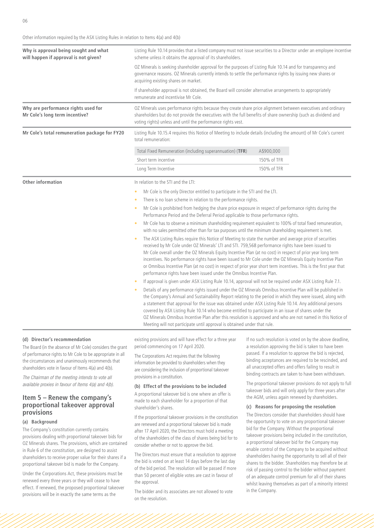Other information required by the ASX Listing Rules in relation to Items 4(a) and 4(b)

| Why is approval being sought and what<br>will happen if approval is not given? | Listing Rule 10.14 provides that a listed company must not issue securities to a Director under an employee incentive<br>scheme unless it obtains the approval of its shareholders.<br>OZ Minerals is seeking shareholder approval for the purposes of Listing Rule 10.14 and for transparency and<br>governance reasons. OZ Minerals currently intends to settle the performance rights by issuing new shares or<br>acquiring existing shares on market.<br>If shareholder approval is not obtained, the Board will consider alternative arrangements to appropriately<br>remunerate and incentivise Mr Cole.                             |             |  |
|--------------------------------------------------------------------------------|--------------------------------------------------------------------------------------------------------------------------------------------------------------------------------------------------------------------------------------------------------------------------------------------------------------------------------------------------------------------------------------------------------------------------------------------------------------------------------------------------------------------------------------------------------------------------------------------------------------------------------------------|-------------|--|
|                                                                                |                                                                                                                                                                                                                                                                                                                                                                                                                                                                                                                                                                                                                                            |             |  |
|                                                                                |                                                                                                                                                                                                                                                                                                                                                                                                                                                                                                                                                                                                                                            |             |  |
| Why are performance rights used for<br>Mr Cole's long term incentive?          | OZ Minerals uses performance rights because they create share price alignment between executives and ordinary<br>shareholders but do not provide the executives with the full benefits of share ownership (such as dividend and<br>voting rights) unless and until the performance rights vest.                                                                                                                                                                                                                                                                                                                                            |             |  |
| Mr Cole's total remuneration package for FY20                                  | Listing Rule 10.15.4 requires this Notice of Meeting to include details (including the amount) of Mr Cole's current<br>total remuneration:                                                                                                                                                                                                                                                                                                                                                                                                                                                                                                 |             |  |
|                                                                                | Total Fixed Remuneration (including superannuation) (TFR)                                                                                                                                                                                                                                                                                                                                                                                                                                                                                                                                                                                  | A\$900,000  |  |
|                                                                                | Short term incentive                                                                                                                                                                                                                                                                                                                                                                                                                                                                                                                                                                                                                       | 150% of TFR |  |
|                                                                                | Long Term Incentive                                                                                                                                                                                                                                                                                                                                                                                                                                                                                                                                                                                                                        | 150% of TFR |  |
| Other information                                                              | In relation to the STI and the LTI:                                                                                                                                                                                                                                                                                                                                                                                                                                                                                                                                                                                                        |             |  |
|                                                                                | Mr Cole is the only Director entitled to participate in the STI and the LTI.                                                                                                                                                                                                                                                                                                                                                                                                                                                                                                                                                               |             |  |
|                                                                                | There is no loan scheme in relation to the performance rights.                                                                                                                                                                                                                                                                                                                                                                                                                                                                                                                                                                             |             |  |
|                                                                                | Mr Cole is prohibited from hedging the share price exposure in respect of performance rights during the<br>$\bullet$<br>Performance Period and the Deferral Period applicable to those performance rights.                                                                                                                                                                                                                                                                                                                                                                                                                                 |             |  |
|                                                                                | Mr Cole has to observe a minimum shareholding requirement equivalent to 100% of total fixed remuneration,<br>$\bullet$<br>with no sales permitted other than for tax purposes until the minimum shareholding requirement is met.                                                                                                                                                                                                                                                                                                                                                                                                           |             |  |
|                                                                                | The ASX Listing Rules require this Notice of Meeting to state the number and average price of securities<br>received by Mr Cole under OZ Minerals' LTI and STI. 759,568 performance rights have been issued to<br>Mr Cole overall under the OZ Minerals Equity Incentive Plan (at no cost) in respect of prior year long term<br>incentives. No performance rights have been issued to Mr Cole under the OZ Minerals Equity Incentive Plan<br>or Omnibus Incentive Plan (at no cost) in respect of prior year short term incentives. This is the first year that<br>performance rights have been issued under the Omnibus Incentive Plan.  |             |  |
|                                                                                | If approval is given under ASX Listing Rule 10.14, approval will not be required under ASX Listing Rule 7.1.                                                                                                                                                                                                                                                                                                                                                                                                                                                                                                                               |             |  |
|                                                                                | Details of any performance rights issued under the OZ Minerals Omnibus Incentive Plan will be published in<br>the Company's Annual and Sustainability Report relating to the period in which they were issued, along with<br>a statement that approval for the issue was obtained under ASX Listing Rule 10.14. Any additional persons<br>covered by ASX Listing Rule 10.14 who become entitled to participate in an issue of shares under the<br>OZ Minerals Omnibus Incentive Plan after this resolution is approved and who are not named in this Notice of<br>Meeting will not participate until approval is obtained under that rule. |             |  |

#### **(d) Director's recommendation**

The Board (in the absence of Mr Cole) considers the grant of performance rights to Mr Cole to be appropriate in all the circumstances and unanimously recommends that shareholders vote in favour of Items 4(a) and 4(b).

*The Chairman of the meeting intends to vote all available proxies in favour of Items 4(a) and 4(b).*

# **Item 5 – Renew the company's proportional takeover approval provisions**

#### **(a) Background**

The Company's constitution currently contains provisions dealing with proportional takeover bids for OZ Minerals shares. The provisions, which are contained in Rule 6 of the constitution, are designed to assist shareholders to receive proper value for their shares if a proportional takeover bid is made for the Company.

Under the Corporations Act, these provisions must be renewed every three years or they will cease to have effect. If renewed, the proposed proportional takeover provisions will be in exactly the same terms as the

existing provisions and will have effect for a three year period commencing on 17 April 2020.

The Corporations Act requires that the following information be provided to shareholders when they are considering the inclusion of proportional takeover provisions in a constitution.

#### **(b) Effect of the provisions to be included**

A proportional takeover bid is one where an offer is made to each shareholder for a proportion of that shareholder's shares.

If the proportional takeover provisions in the constitution are renewed and a proportional takeover bid is made after 17 April 2020, the Directors must hold a meeting of the shareholders of the class of shares being bid for to consider whether or not to approve the bid.

The Directors must ensure that a resolution to approve the bid is voted on at least 14 days before the last day of the bid period. The resolution will be passed if more than 50 percent of eligible votes are cast in favour of the approval.

The bidder and its associates are not allowed to vote on the resolution.

If no such resolution is voted on by the above deadline, a resolution approving the bid is taken to have been passed. If a resolution to approve the bid is rejected, binding acceptances are required to be rescinded, and all unaccepted offers and offers failing to result in binding contracts are taken to have been withdrawn.

The proportional takeover provisions do not apply to full takeover bids and will only apply for three years after the AGM, unless again renewed by shareholders.

#### **(c) Reasons for proposing the resolution**

The Directors consider that shareholders should have the opportunity to vote on any proportional takeover bid for the Company. Without the proportional takeover provisions being included in the constitution, a proportional takeover bid for the Company may enable control of the Company to be acquired without shareholders having the opportunity to sell all of their shares to the bidder. Shareholders may therefore be at risk of passing control to the bidder without payment of an adequate control premium for all of their shares whilst leaving themselves as part of a minority interest in the Company.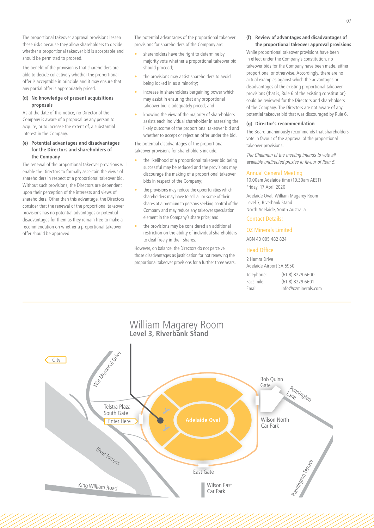The proportional takeover approval provisions lessen these risks because they allow shareholders to decide whether a proportional takeover bid is acceptable and should be permitted to proceed.

The benefit of the provision is that shareholders are able to decide collectively whether the proportional offer is acceptable in principle and it may ensure that any partial offer is appropriately priced.

#### **(d) No knowledge of present acquisitions proposals**

As at the date of this notice, no Director of the Company is aware of a proposal by any person to acquire, or to increase the extent of, a substantial interest in the Company.

#### **(e) Potential advantages and disadvantages for the Directors and shareholders of the Company**

The renewal of the proportional takeover provisions will enable the Directors to formally ascertain the views of shareholders in respect of a proportional takeover bid. Without such provisions, the Directors are dependent upon their perception of the interests and views of shareholders. Other than this advantage, the Directors consider that the renewal of the proportional takeover provisions has no potential advantages or potential disadvantages for them as they remain free to make a recommendation on whether a proportional takeover offer should be approved.

The potential advantages of the proportional takeover provisions for shareholders of the Company are:

- shareholders have the right to determine by majority vote whether a proportional takeover bid should proceed;
- the provisions may assist shareholders to avoid being locked in as a minority;
- increase in shareholders bargaining power which may assist in ensuring that any proportional takeover bid is adequately priced; and
- knowing the view of the majority of shareholders assists each individual shareholder in assessing the likely outcome of the proportional takeover bid and whether to accept or reject an offer under the bid.

The potential disadvantages of the proportional takeover provisions for shareholders include:

- the likelihood of a proportional takeover bid being successful may be reduced and the provisions may discourage the making of a proportional takeover bids in respect of the Company;
- the provisions may reduce the opportunities which shareholders may have to sell all or some of their shares at a premium to persons seeking control of the Company and may reduce any takeover speculation element in the Company's share price; and
- the provisions may be considered an additional restriction on the ability of individual shareholders to deal freely in their shares.

However, on balance, the Directors do not perceive those disadvantages as justification for not renewing the proportional takeover provisions for a further three years.

#### **(f) Review of advantages and disadvantages of the proportional takeover approval provisions**

While proportional takeover provisions have been in effect under the Company's constitution, no takeover bids for the Company have been made, either proportional or otherwise. Accordingly, there are no actual examples against which the advantages or disadvantages of the existing proportional takeover provisions (that is, Rule 6 of the existing constitution) could be reviewed for the Directors and shareholders of the Company. The Directors are not aware of any potential takeover bid that was discouraged by Rule 6.

#### **(g) Director's recommendation**

The Board unanimously recommends that shareholders vote in favour of the approval of the proportional takeover provisions.

*The Chairman of the meeting intends to vote all available undirected proxies in favour of Item 5.*

#### Annual General Meeting

10.00am Adelaide time (10.30am AEST) Friday, 17 April 2020 Adelaide Oval, William Magarey Room Level 3, Riverbank Stand North Adelaide, South Australia

# Contact Details:

OZ Minerals Limited ABN 40 005 482 824

#### Head Office

2 Hamra Drive Adelaide Airport SA 5950 Telephone: (61 8) 8229 6600 Facsimile: (61 8) 8229 6601 Email: info@ozminerals.com

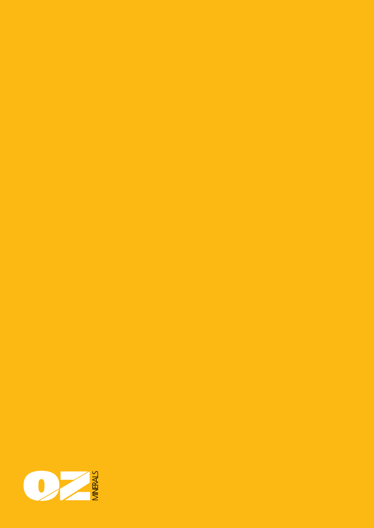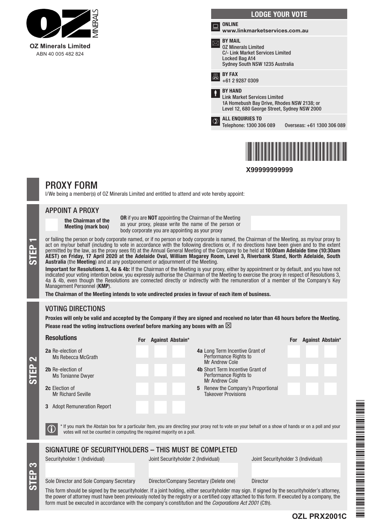



**X99999999999**

# PROXY FORM

I/We being a member(s) of OZ Minerals Limited and entitled to attend and vote hereby appoint:

# APPOINT A PROXY

the Chairman of the Meeting (mark box)

OR if you are NOT appointing the Chairman of the Meeting as your proxy, please write the name of the person or body corporate you are appointing as your proxy

or failing the person or body corporate named, or if no person or body corporate is named, the Chairman of the Meeting, as my/our proxy to act on my/our behalf (including to vote in accordance with the following directions act on my/our behalf (including to vote in accordance with the following directions or, if no directions have been given and to the extent permitted by the law, as the proxy sees fit) at the Annual General Meeting of the Company to be held at 10:00am Adelaide time (10:30am AEST) on Friday, 17 April 2020 at the Adelaide Oval, William Magarey Room, Level 3, Riverbank Stand, North Adelaide, South Australia (the Meeting) and at any postponement or adjournment of the Meeting.

Important for Resolutions 3, 4a & 4b: If the Chairman of the Meeting is your proxy, either by appointment or by default, and you have not indicated your voting intention below, you expressly authorise the Chairman of the Meeting to exercise the proxy in respect of Resolutions 3, 4a & 4b, even though the Resolutions are connected directly or indirectly with the remuneration of a member of the Company's Key Management Personnel (KMP).

The Chairman of the Meeting intends to vote undirected proxies in favour of each item of business.

# VOTING DIRECTIONS

STEP 3

STEP 2

Proxies will only be valid and accepted by the Company if they are signed and received no later than 48 hours before the Meeting. Please read the voting instructions overleaf before marking any boxes with an  $\boxtimes$ 

| <b>Resolutions</b>                                                                                                                                                                                                                                                                                                                                                                                                     | For Against Abstain*                                                               | Against Abstain*<br>For             |  |  |
|------------------------------------------------------------------------------------------------------------------------------------------------------------------------------------------------------------------------------------------------------------------------------------------------------------------------------------------------------------------------------------------------------------------------|------------------------------------------------------------------------------------|-------------------------------------|--|--|
| 2a Re-election of<br>Ms Rebecca McGrath                                                                                                                                                                                                                                                                                                                                                                                | <b>4a</b> Long Term Incentive Grant of<br>Performance Rights to<br>Mr Andrew Cole  |                                     |  |  |
| 2b Re-election of<br><b>Ms Tonianne Dwyer</b>                                                                                                                                                                                                                                                                                                                                                                          | <b>4b</b> Short Term Incentive Grant of<br>Performance Rights to<br>Mr Andrew Cole |                                     |  |  |
| <b>2c</b> Election of<br><b>Mr Richard Seville</b>                                                                                                                                                                                                                                                                                                                                                                     | Renew the Company's Proportional<br>5<br><b>Takeover Provisions</b>                |                                     |  |  |
| <b>Adopt Remuneration Report</b><br>3                                                                                                                                                                                                                                                                                                                                                                                  |                                                                                    |                                     |  |  |
| * If you mark the Abstain box for a particular Item, you are directing your proxy not to vote on your behalf on a show of hands or on a poll and your<br>$\mathbf{U}$<br>votes will not be counted in computing the required majority on a poll.                                                                                                                                                                       |                                                                                    |                                     |  |  |
| SIGNATURE OF SECURITYHOLDERS - THIS MUST BE COMPLETED                                                                                                                                                                                                                                                                                                                                                                  |                                                                                    |                                     |  |  |
| Securityholder 1 (Individual)                                                                                                                                                                                                                                                                                                                                                                                          | Joint Securityholder 2 (Individual)                                                | Joint Securityholder 3 (Individual) |  |  |
| Sole Director and Sole Company Secretary                                                                                                                                                                                                                                                                                                                                                                               | Director/Company Secretary (Delete one)<br><b>Director</b>                         |                                     |  |  |
| This form should be signed by the securityholder. If a joint holding, either securityholder may sign. If signed by the securityholder's attorney,<br>the power of attorney must have been previously noted by the registry or a certified copy attached to this form. If executed by a company, the<br>form must be executed in accordance with the company's constitution and the <i>Corporations Act 2001</i> (Cth). |                                                                                    |                                     |  |  |

\*OZL PRZEZ PRZEZ PRZEZ PRZEZ PRZEZ PRZEZ PRZEZ PRZEZ PRZEZ PRZEZ PRZEZ PRZEZ PRZEZ PRZEZ PRZEZ PRZEZ PRZEZ PRZ 1999 - PARTIE DE REGISTER EN DE L'ANGELIE DE L'ANGELIE DE L'ANGELIE DE L'ANGELIE DE L'ANGELIE DE L'ANGELIE DE

**OZL PRX2001C**